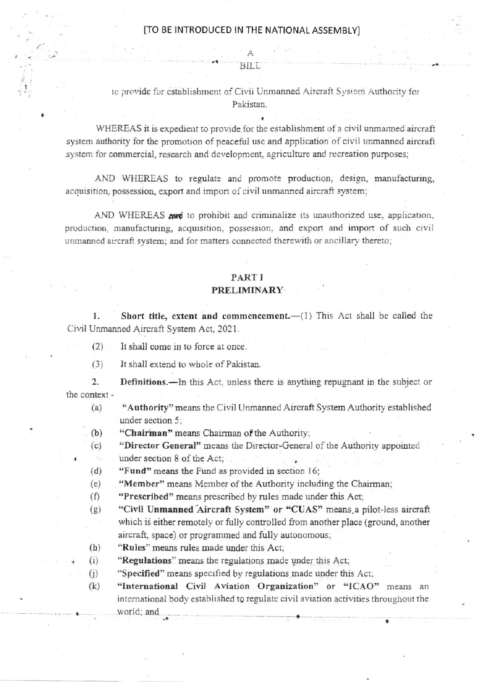BILL

to provide for establishment of Civil Unmanned Aircraft System Authority for Pakistan.

WHEREAS it is expedient to provide for the establishment of a civil unmanned aircraft system authority for the promotion of peaceful use and application of civil unmanned aircraft system for commercial, research and development, agriculture and recreation purposes;

AND WHEREAS to regulate and promote production, design, manufacturing, acquisition, possession, export and import of civil unmanned aircraft system;

AND WHEREAS and to prohibit and criminalize its unauthorized use, application, production, manufacturing, acquisition, possession, and export and import of such civil unmanned aircraft system; and for matters connected therewith or ancillary thereto;

## PART I PRELIMINARY

Short title, extent and commencement.-(1) This Act shall be called the 1. Civil Unmanned Aircraft System Act, 2021.

- It shall come in to force at once.  $(2)$
- $(3)$ It shall extend to whole of Pakistan.

 $2.$ Definitions.—In this Act, unless there is anything repugnant in the subject or the context -

- $(a)$ "Authority" means the Civil Unmanned Aircraft System Authority established under section 5;
- "Chairman" means Chairman of the Authority;  $(b)$
- "Director General" means the Director-General of the Authority appointed  $(c)$ under section 8 of the Act;  $\tau_{\rm eff}$
- "Fund" means the Fund as provided in section 16;  $(d)$
- "Member" means Member of the Authority including the Chairman;  $(e)$
- $(f)$ "Prescribed" means prescribed by rules made under this Act;
- "Civil Unmanned Aircraft System" or "CUAS" means a pilot-less aircraft  $(g)$ which is either remotely or fully controlled from another place (ground, another aircraft, space) or programmed and fully autonomous;
- "Rules" means rules made under this Act:  $(h)$
- $(i)$ "Regulations" means the regulations made under this Act;
- $(j)$ "Specified" means specified by regulations made under this Act;

"International Civil Aviation Organization" or "ICAO" means an  $(k)$ international body established to regulate civil aviation activities throughout the world; and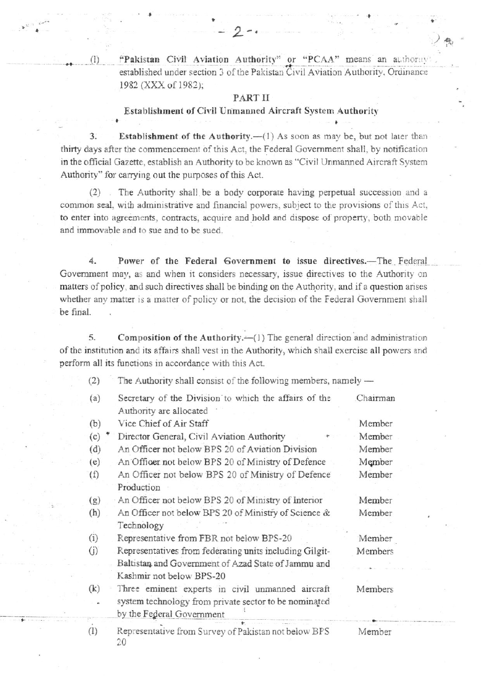"Pakistan Civil Aviation Authority" or "PCAA" means an authority established under section 3 of the Pakistan Civil Aviation Authority, Ordinance 1982 (XXX of 1982);

## PART II

## Establishment of Civil Unmanned Aircraft System Authority

 $3.$ Establishment of the Authority.-(1) As soon as may be, but not later than thirty days after the commencement of this Act, the Federal Government shall, by notification in the official Gazette, establish an Authority to be known as "Civil Unmanned Aircraft System Authority" for carrying out the purposes of this Act.

The Authority shall be a body corporate having perpetual succession and a  $(2)$ . common seal, with administrative and financial powers, subject to the provisions of this Act, to enter into agreements, contracts, acquire and hold and dispose of property, both movable and immovable and to sue and to be sued.

4. Power of the Federal Government to issue directives.-The Federal Government may, as and when it considers necessary, issue directives to the Authority on matters of policy, and such directives shall be binding on the Authority, and if a question arises whether any matter is a matter of policy or not, the decision of the Federal Government shall be final.

5. Composition of the Authority.—(1) The general direction and administration of the institution and its affairs shall vest in the Authority, which shall exercise all powers and perform all its functions in accordance with this Act.

 $(2)$ The Authority shall consist of the following members, namely -

| (a) | Secretary of the Division to which the affairs of the<br>Authority are allocated   | Chairman |
|-----|------------------------------------------------------------------------------------|----------|
| (b) | Vice Chief of Air Staff                                                            | Member   |
| (c) | Director General, Civil Aviation Authority                                         | Member   |
| (d) | An Officer not below BPS 20 of Aviation Division                                   | Member   |
| (e) | An Officer not below BPS 20 of Ministry of Defence                                 | Member   |
| (f) | An Officer not below BPS 20 of Ministry of Defence                                 | Member   |
|     | Production                                                                         |          |
| (g) | An Officer not below BPS 20 of Ministry of Interior                                | Member   |
| (h) | An Officer not below BPS 20 of Ministry of Science &                               | Member   |
|     | Technology                                                                         |          |
| (i) | Representative from FBR not below BPS-20                                           | Member   |
| (i) | Representatives from federating units including Gilgit-                            | Members  |
|     | Baltistan and Government of Azad State of Jammu and                                |          |
|     | Kashmir not below BPS-20                                                           |          |
| (k) | Three eminent experts in civil unmanned aircraft                                   | Members  |
|     | system technology from private sector to be nominated<br>by the Federal Government |          |
| (1) | Representative from Survey of Pakistan not below BPS<br>20                         | Member   |

 $(1)$